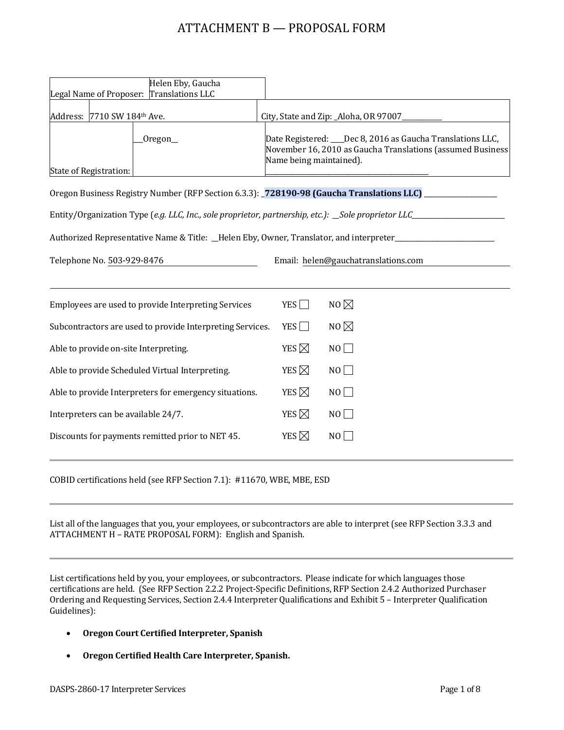# ATTACHMENT B — PROPOSAL FORM

| Helen Eby, Gaucha<br>Legal Name of Proposer: Translations LLC                                                  |                                                                                          |                                       |                                                                                                                           |  |
|----------------------------------------------------------------------------------------------------------------|------------------------------------------------------------------------------------------|---------------------------------------|---------------------------------------------------------------------------------------------------------------------------|--|
| Address: 7710 SW 184th Ave.                                                                                    |                                                                                          | City, State and Zip: _Aloha, OR 97007 |                                                                                                                           |  |
| State of Registration:                                                                                         | Oregon_                                                                                  | Name being maintained).               | Date Registered: ___Dec 8, 2016 as Gaucha Translations LLC,<br>November 16, 2010 as Gaucha Translations (assumed Business |  |
|                                                                                                                | Oregon Business Registry Number (RFP Section 6.3.3): 728190-98 (Gaucha Translations LLC) |                                       |                                                                                                                           |  |
| Entity/Organization Type (e.g. LLC, Inc., sole proprietor, partnership, etc.): _Sole proprietor LLC_           |                                                                                          |                                       |                                                                                                                           |  |
| Authorized Representative Name & Title: _Helen Eby, Owner, Translator, and interpreter________________________ |                                                                                          |                                       |                                                                                                                           |  |
| Telephone No. 503-929-8476                                                                                     |                                                                                          |                                       | Email: helen@gauchatranslations.com                                                                                       |  |
|                                                                                                                | Employees are used to provide Interpreting Services                                      | YES $\Box$                            | NO $\not\boxtimes$                                                                                                        |  |
| Subcontractors are used to provide Interpreting Services.                                                      |                                                                                          | YES                                   | NO $\boxtimes$                                                                                                            |  |
| Able to provide on-site Interpreting.                                                                          |                                                                                          | YES $\boxtimes$                       | $NO$ $\Box$                                                                                                               |  |
| Able to provide Scheduled Virtual Interpreting.                                                                |                                                                                          | YES $\boxtimes$                       | NO                                                                                                                        |  |
| Able to provide Interpreters for emergency situations.                                                         |                                                                                          | YES $\boxtimes$                       | NO                                                                                                                        |  |
| Interpreters can be available 24/7.                                                                            |                                                                                          | YES $\boxtimes$                       | $NO$ $\Box$                                                                                                               |  |
| Discounts for payments remitted prior to NET 45.                                                               |                                                                                          | YES $\boxtimes$                       | NO                                                                                                                        |  |
|                                                                                                                |                                                                                          |                                       |                                                                                                                           |  |

COBID certifications held (see RFP Section 7.1): #11670, WBE, MBE, ESD

List all of the languages that you, your employees, or subcontractors are able to interpret (see RFP Section 3.3.3 and ATTACHMENT H – RATE PROPOSAL FORM): English and Spanish.

List certifications held by you, your employees, or subcontractors. Please indicate for which languages those certifications are held. (See RFP Section 2.2.2 Project-Specific Definitions, RFP Section 2.4.2 Authorized Purchaser Ordering and Requesting Services, Section 2.4.4 Interpreter Qualifications and Exhibit 5 – Interpreter Qualification Guidelines):

- **Oregon Court Certified Interpreter, Spanish**
- **Oregon Certified Health Care Interpreter, Spanish.**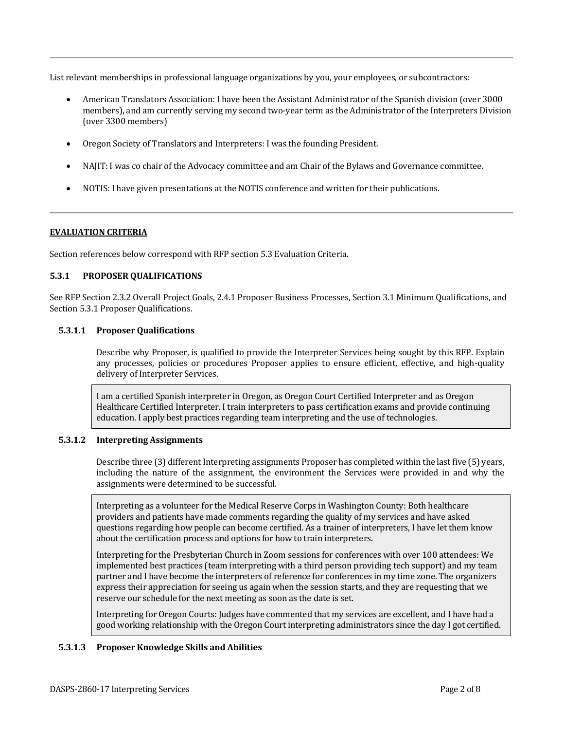List relevant memberships in professional language organizations by you, your employees, or subcontractors:

- American Translators Association: I have been the Assistant Administrator of the Spanish division (over 3000 members), and am currently serving my second two-year term as the Administrator of the Interpreters Division (over 3300 members)
- Oregon Society of Translators and Interpreters: I was the founding President.
- NAJIT: I was co chair of the Advocacy committee and am Chair of the Bylaws and Governance committee.
- NOTIS: I have given presentations at the NOTIS conference and written for their publications.

#### **EVALUATION CRITERIA**

Section references below correspond with RFP section 5.3 Evaluation Criteria.

### **5.3.1 PROPOSER QUALIFICATIONS**

See RFP Section 2.3.2 Overall Project Goals, 2.4.1 Proposer Business Processes, Section 3.1 Minimum Qualifications, and Section 5.3.1 Proposer Qualifications.

#### **5.3.1.1 Proposer Qualifications**

Describe why Proposer, is qualified to provide the Interpreter Services being sought by this RFP. Explain any processes, policies or procedures Proposer applies to ensure efficient, effective, and high-quality delivery of Interpreter Services.

I am a certified Spanish interpreter in Oregon, as Oregon Court Certified Interpreter and as Oregon Healthcare Certified Interpreter. I train interpreters to pass certification exams and provide continuing education. I apply best practices regarding team interpreting and the use of technologies.

#### **5.3.1.2 Interpreting Assignments**

Describe three (3) different Interpreting assignments Proposer has completed within the last five (5) years, including the nature of the assignment, the environment the Services were provided in and why the assignments were determined to be successful.

Interpreting as a volunteer for the Medical Reserve Corps in Washington County: Both healthcare providers and patients have made comments regarding the quality of my services and have asked questions regarding how people can become certified. As a trainer of interpreters, I have let them know about the certification process and options for how to train interpreters.

Interpreting for the Presbyterian Church in Zoom sessions for conferences with over 100 attendees: We implemented best practices (team interpreting with a third person providing tech support) and my team partner and I have become the interpreters of reference for conferences in my time zone. The organizers express their appreciation for seeing us again when the session starts, and they are requesting that we reserve our schedule for the next meeting as soon as the date is set.

Interpreting for Oregon Courts: Judges have commented that my services are excellent, and I have had a good working relationship with the Oregon Court interpreting administrators since the day I got certified.

#### **5.3.1.3 Proposer Knowledge Skills and Abilities**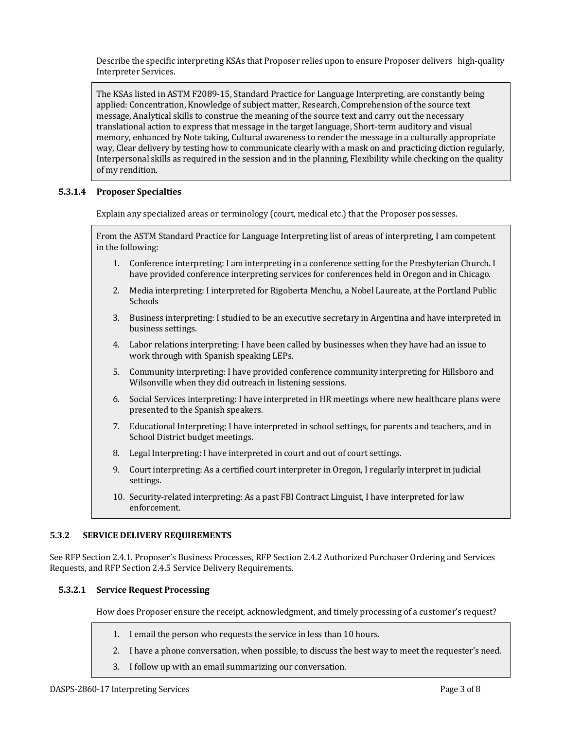Describe the specific interpreting KSAs that Proposer relies upon to ensure Proposer delivers high-quality Interpreter Services.

The KSAs listed in ASTM F2089-15, Standard Practice for Language Interpreting, are constantly being applied: Concentration, Knowledge of subject matter, Research, Comprehension of the source text message, Analytical skills to construe the meaning of the source text and carry out the necessary translational action to express that message in the target language, Short-term auditory and visual memory, enhanced by Note taking, Cultural awareness to render the message in a culturally appropriate way, Clear delivery by testing how to communicate clearly with a mask on and practicing diction regularly, Interpersonal skills as required in the session and in the planning, Flexibility while checking on the quality of my rendition.

## **5.3.1.4 Proposer Specialties**

Explain any specialized areas or terminology (court, medical etc.) that the Proposer possesses.

From the ASTM Standard Practice for Language Interpreting list of areas of interpreting, I am competent in the following:

- 1. Conference interpreting: I am interpreting in a conference setting for the Presbyterian Church. I have provided conference interpreting services for conferences held in Oregon and in Chicago.
- 2. Media interpreting: I interpreted for Rigoberta Menchu, a Nobel Laureate, at the Portland Public Schools
- 3. Business interpreting: I studied to be an executive secretary in Argentina and have interpreted in business settings.
- 4. Labor relations interpreting: I have been called by businesses when they have had an issue to work through with Spanish speaking LEPs.
- 5. Community interpreting: I have provided conference community interpreting for Hillsboro and Wilsonville when they did outreach in listening sessions.
- 6. Social Services interpreting: I have interpreted in HR meetings where new healthcare plans were presented to the Spanish speakers.
- 7. Educational Interpreting: I have interpreted in school settings, for parents and teachers, and in School District budget meetings.
- 8. Legal Interpreting: I have interpreted in court and out of court settings.
- 9. Court interpreting: As a certified court interpreter in Oregon, I regularly interpret in judicial settings.
- 10. Security-related interpreting: As a past FBI Contract Linguist, I have interpreted for law enforcement.

#### **5.3.2 SERVICE DELIVERY REQUIREMENTS**

See RFP Section 2.4.1. Proposer's Business Processes, RFP Section 2.4.2 Authorized Purchaser Ordering and Services Requests, and RFP Section 2.4.5 Service Delivery Requirements.

#### **5.3.2.1 Service Request Processing**

How does Proposer ensure the receipt, acknowledgment, and timely processing of a customer's request?

- 1. I email the person who requests the service in less than 10 hours.
- 2. I have a phone conversation, when possible, to discuss the best way to meet the requester's need.
- 3. I follow up with an email summarizing our conversation.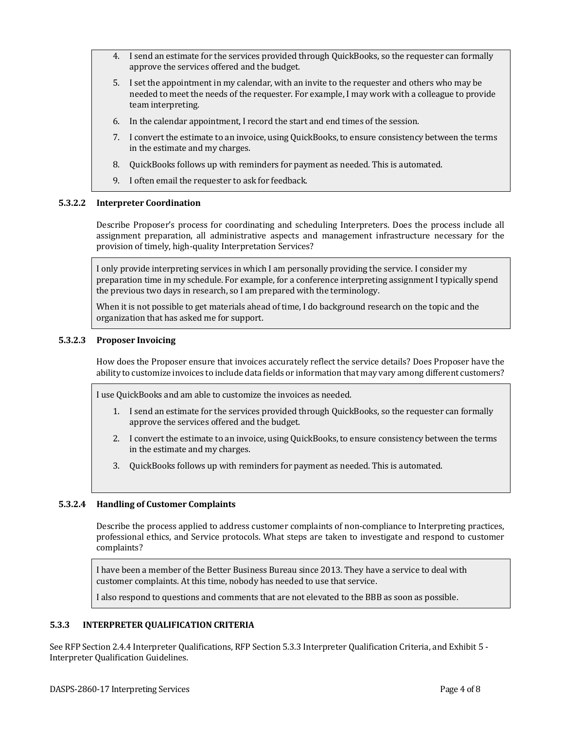- 4. I send an estimate for the services provided through QuickBooks, so the requester can formally approve the services offered and the budget.
- 5. I set the appointment in my calendar, with an invite to the requester and others who may be needed to meet the needs of the requester. For example, I may work with a colleague to provide team interpreting.
- 6. In the calendar appointment, I record the start and end times of the session.
- 7. I convert the estimate to an invoice, using QuickBooks, to ensure consistency between the terms in the estimate and my charges.
- 8. QuickBooks follows up with reminders for payment as needed. This is automated.
- 9. I often email the requester to ask for feedback.

#### **5.3.2.2 Interpreter Coordination**

Describe Proposer's process for coordinating and scheduling Interpreters. Does the process include all assignment preparation, all administrative aspects and management infrastructure necessary for the provision of timely, high-quality Interpretation Services?

I only provide interpreting services in which I am personally providing the service. I consider my preparation time in my schedule. For example, for a conference interpreting assignment I typically spend the previous two days in research, so I am prepared with the terminology.

When it is not possible to get materials ahead of time, I do background research on the topic and the organization that has asked me for support.

#### **5.3.2.3 Proposer Invoicing**

How does the Proposer ensure that invoices accurately reflect the service details? Does Proposer have the ability to customize invoices to include data fields or information that may vary among different customers?

I use QuickBooks and am able to customize the invoices as needed.

- 1. I send an estimate for the services provided through QuickBooks, so the requester can formally approve the services offered and the budget.
- 2. I convert the estimate to an invoice, using QuickBooks, to ensure consistency between the terms in the estimate and my charges.
- 3. QuickBooks follows up with reminders for payment as needed. This is automated.

## **5.3.2.4 Handling of Customer Complaints**

Describe the process applied to address customer complaints of non-compliance to Interpreting practices, professional ethics, and Service protocols. What steps are taken to investigate and respond to customer complaints?

I have been a member of the Better Business Bureau since 2013. They have a service to deal with customer complaints. At this time, nobody has needed to use that service.

I also respond to questions and comments that are not elevated to the BBB as soon as possible.

#### **5.3.3 INTERPRETER QUALIFICATION CRITERIA**

See RFP Section 2.4.4 Interpreter Qualifications, RFP Section 5.3.3 Interpreter Qualification Criteria, and Exhibit 5 - Interpreter Qualification Guidelines.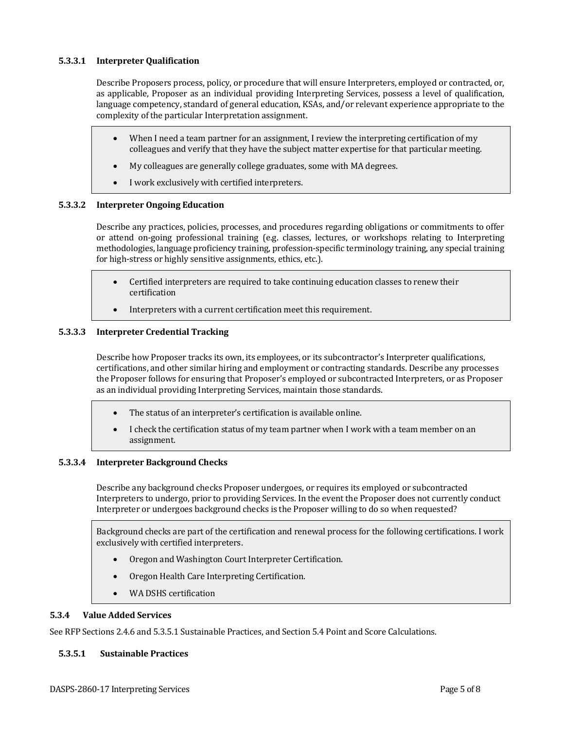### **5.3.3.1 Interpreter Qualification**

Describe Proposers process, policy, or procedure that will ensure Interpreters, employed or contracted, or, as applicable, Proposer as an individual providing Interpreting Services, possess a level of qualification, language competency, standard of general education, KSAs, and/or relevant experience appropriate to the complexity of the particular Interpretation assignment.

- When I need a team partner for an assignment, I review the interpreting certification of my colleagues and verify that they have the subject matter expertise for that particular meeting.
- My colleagues are generally college graduates, some with MA degrees.
- I work exclusively with certified interpreters.

#### **5.3.3.2 Interpreter Ongoing Education**

Describe any practices, policies, processes, and procedures regarding obligations or commitments to offer or attend on-going professional training (e.g. classes, lectures, or workshops relating to Interpreting methodologies, language proficiency training, profession-specific terminology training, any special training for high-stress or highly sensitive assignments, ethics, etc.).

- Certified interpreters are required to take continuing education classes to renew their certification
- Interpreters with a current certification meet this requirement.

## **5.3.3.3 Interpreter Credential Tracking**

Describe how Proposer tracks its own, its employees, or its subcontractor's Interpreter qualifications, certifications, and other similar hiring and employment or contracting standards. Describe any processes the Proposer follows for ensuring that Proposer's employed or subcontracted Interpreters, or as Proposer as an individual providing Interpreting Services, maintain those standards.

- The status of an interpreter's certification is available online.
- I check the certification status of my team partner when I work with a team member on an assignment.

#### **5.3.3.4 Interpreter Background Checks**

Describe any background checks Proposer undergoes, or requires its employed or subcontracted Interpreters to undergo, prior to providing Services. In the event the Proposer does not currently conduct Interpreter or undergoes background checks is the Proposer willing to do so when requested?

Background checks are part of the certification and renewal process for the following certifications. I work exclusively with certified interpreters.

- Oregon and Washington Court Interpreter Certification.
- Oregon Health Care Interpreting Certification.
- WA DSHS certification

#### **5.3.4 Value Added Services**

See RFP Sections 2.4.6 and 5.3.5.1 Sustainable Practices, and Section 5.4 Point and Score Calculations.

#### **5.3.5.1 Sustainable Practices**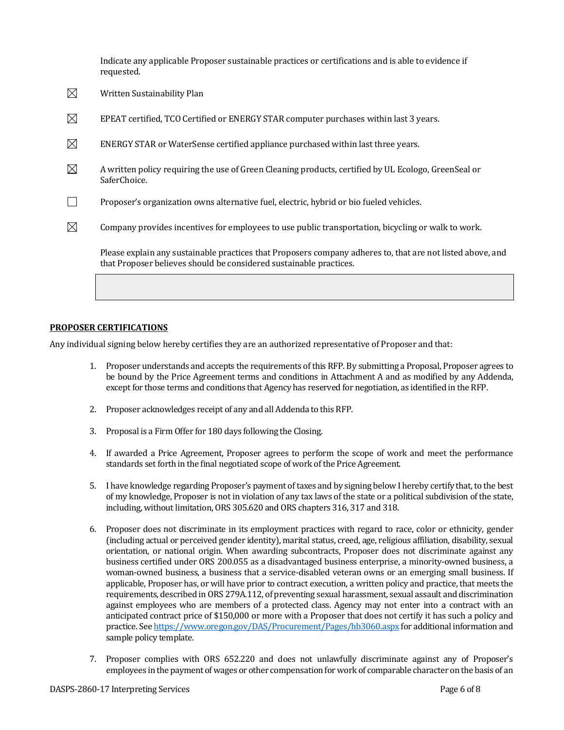Indicate any applicable Proposer sustainable practices or certifications and is able to evidence if requested.

| $\boxtimes$ | Written Sustainability Plan                                                                                                                                                      |
|-------------|----------------------------------------------------------------------------------------------------------------------------------------------------------------------------------|
| $\boxtimes$ | EPEAT certified, TCO Certified or ENERGY STAR computer purchases within last 3 years.                                                                                            |
| $\boxtimes$ | ENERGY STAR or WaterSense certified appliance purchased within last three years.                                                                                                 |
| $\boxtimes$ | A written policy requiring the use of Green Cleaning products, certified by UL Ecologo, GreenSeal or<br>SaferChoice.                                                             |
|             | Proposer's organization owns alternative fuel, electric, hybrid or bio fueled vehicles.                                                                                          |
| $\boxtimes$ | Company provides incentives for employees to use public transportation, bicycling or walk to work.                                                                               |
|             | Please explain any sustainable practices that Proposers company adheres to, that are not listed above, and<br>that Proposer believes should be considered sustainable practices. |
|             |                                                                                                                                                                                  |

#### **PROPOSER CERTIFICATIONS**

Any individual signing below hereby certifies they are an authorized representative of Proposer and that:

- 1. Proposer understands and accepts the requirements of this RFP. By submitting a Proposal, Proposer agrees to be bound by the Price Agreement terms and conditions in Attachment A and as modified by any Addenda, except for those terms and conditions that Agency has reserved for negotiation, as identified in the RFP.
- 2. Proposer acknowledges receipt of any and all Addenda to this RFP.
- 3. Proposal is a Firm Offer for 180 days following the Closing.
- 4. If awarded a Price Agreement, Proposer agrees to perform the scope of work and meet the performance standards set forth in the final negotiated scope of work of the Price Agreement.
- 5. I have knowledge regarding Proposer's payment of taxes and by signing below I hereby certify that, to the best of my knowledge, Proposer is not in violation of any tax laws of the state or a political subdivision of the state, including, without limitation, ORS 305.620 and ORS chapters 316, 317 and 318.
- 6. Proposer does not discriminate in its employment practices with regard to race, color or ethnicity, gender (including actual or perceived gender identity), marital status, creed, age, religious affiliation, disability, sexual orientation, or national origin. When awarding subcontracts, Proposer does not discriminate against any business certified under ORS 200.055 as a disadvantaged business enterprise, a minority-owned business, a woman-owned business, a business that a service-disabled veteran owns or an emerging small business. If applicable, Proposer has, or will have prior to contract execution, a written policy and practice, that meets the requirements, described in ORS 279A.112, of preventing sexual harassment, sexual assault and discrimination against employees who are members of a protected class. Agency may not enter into a contract with an anticipated contract price of \$150,000 or more with a Proposer that does not certify it has such a policy and practice. See <https://www.oregon.gov/DAS/Procurement/Pages/hb3060.aspx> for additional information and sample policy template.
- 7. Proposer complies with ORS 652.220 and does not unlawfully discriminate against any of Proposer's employees in the payment of wages or other compensation for work of comparable character on the basis of an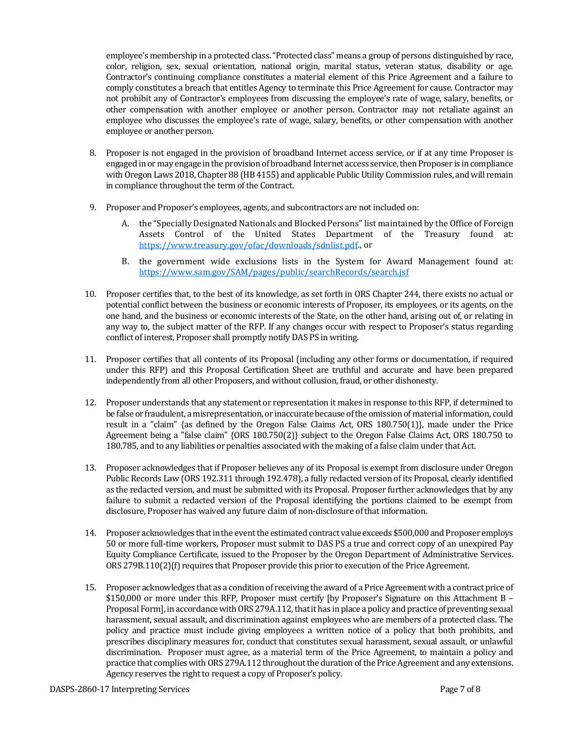employee's membership in a protected class. "Protected class" means a group of persons distinguished by race, color, religion, sex, sexual orientation, national origin, marital status, veteran status, disability or age. Contractor's continuing compliance constitutes a material element of this Price Agreement and a failure to comply constitutes a breach that entitles Agency to terminate this Price Agreement for cause. Contractor may not prohibit any of Contractor's employees from discussing the employee's rate of wage, salary, benefits, or other compensation with another employee or another person. Contractor may not retaliate against an employee who discusses the employee's rate of wage, salary, benefits, or other compensation with another employee or another person.

- 8. Proposer is not engaged in the provision of broadband Internet access service, or if at any time Proposer is engaged in or may engage in the provision of broadband Internet access service, then Proposer is in compliance with Oregon Laws 2018, Chapter 88 (HB 4155) and applicable Public Utility Commission rules, and will remain in compliance throughout the term of the Contract.
- 9. Proposer and Proposer's employees, agents, and subcontractors are not included on:
	- A. the "Specially Designated Nationals and Blocked Persons" list maintained by the Office of Foreign Assets Control of the United States Department of the Treasury found at: [https://www.treasury.gov/ofac/downloads/sdnlist.pdf.,](https://www.treasury.gov/ofac/downloads/sdnlist.pdf) or
	- B. the government wide exclusions lists in the System for Award Management found at: <https://www.sam.gov/SAM/pages/public/searchRecords/search.jsf>
- 10. Proposer certifies that, to the best of its knowledge, as set forth in ORS Chapter 244, there exists no actual or potential conflict between the business or economic interests of Proposer, its employees, or its agents, on the one hand, and the business or economic interests of the State, on the other hand, arising out of, or relating in any way to, the subject matter of the RFP. If any changes occur with respect to Proposer's status regarding conflict of interest, Proposer shall promptly notify DAS PS in writing.
- 11. Proposer certifies that all contents of its Proposal (including any other forms or documentation, if required under this RFP) and this Proposal Certification Sheet are truthful and accurate and have been prepared independently from all other Proposers, and without collusion, fraud, or other dishonesty.
- 12. Proposer understands that any statement or representation it makes in response to this RFP, if determined to be false or fraudulent, a misrepresentation, or inaccurate because of the omission of material information, could result in a "claim" {as defined by the Oregon False Claims Act, ORS 180.750(1)}, made under the Price Agreement being a "false claim" {ORS 180.750(2)} subject to the Oregon False Claims Act, ORS 180.750 to 180.785, and to any liabilities or penalties associated with the making of a false claim under that Act.
- 13. Proposer acknowledges that if Proposer believes any of its Proposal is exempt from disclosure under Oregon Public Records Law (ORS 192.311 through 192.478), a fully redacted version of its Proposal, clearly identified as the redacted version, and must be submitted with its Proposal. Proposer further acknowledges that by any failure to submit a redacted version of the Proposal identifying the portions claimed to be exempt from disclosure, Proposer has waived any future claim of non-disclosure of that information.
- 14. Proposer acknowledges that in the event the estimated contract value exceeds \$500,000 and Proposer employs 50 or more full-time workers, Proposer must submit to DAS PS a true and correct copy of an unexpired Pay Equity Compliance Certificate, issued to the Proposer by the Oregon Department of Administrative Services. ORS 279B.110(2)(f) requires that Proposer provide this prior to execution of the Price Agreement.
- 15. Proposer acknowledges that as a condition of receiving the award of a Price Agreement with a contract price of \$150,000 or more under this RFP, Proposer must certify [by Proposer's Signature on this Attachment B – Proposal Form], in accordance with ORS 279A.112, that it has in place a policy and practice of preventing sexual harassment, sexual assault, and discrimination against employees who are members of a protected class. The policy and practice must include giving employees a written notice of a policy that both prohibits, and prescribes disciplinary measures for, conduct that constitutes sexual harassment, sexual assault, or unlawful discrimination. Proposer must agree, as a material term of the Price Agreement, to maintain a policy and practice that complies with ORS 279A.112 throughout the duration of the Price Agreement and any extensions. Agency reserves the right to request a copy of Proposer's policy.